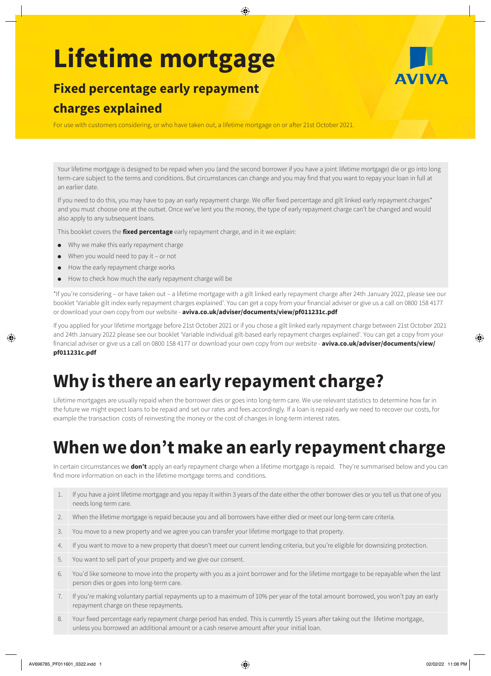# **Lifetime mortgage**

### **Fixed percentage early repayment charges explained**

For use with customers considering, or who have taken out, a lifetime mortgage on or after 21st October 2021.

Your lifetime mortgage is designed to be repaid when you (and the second borrower if you have a joint lifetime mortgage) die or go into long term-care subject to the terms and conditions. But circumstances can change and you may find that you want to repay your loan in full at an earlier date.

If you need to do this, you may have to pay an early repayment charge. We offer fixed percentage and gilt linked early repayment charges\* and you must choose one at the outset. Once we've lent you the money, the type of early repayment charge can't be changed and would also apply to any subsequent loans.

This booklet covers the **fixed percentage** early repayment charge, and in it we explain:

- ● Why we make this early repayment charge
- $\bullet$  When you would need to pay it or not
- ● How the early repayment charge works
- How to check how much the early repayment charge will be

\*If you're considering – or have taken out – a lifetime mortgage with a gilt linked early repayment charge after 24th January 2022, please see our booklet 'Variable gilt index early repayment charges explained'. You can get a copy from your financial adviser or give us a call on 0800 158 4177 or download your own copy from our website - **[aviva.co.uk/adviser/documents/view/pf011231c.pdf](http://www.aviva.co.uk/adviser/documents/view/pf011231c.pdf)**

If you applied for your lifetime mortgage before 21st October 2021 or if you chose a gilt linked early repayment charge between 21st October 2021 and 24th January 2022 please see our booklet 'Variable individual gilt-based early repayment charges explained'. You can get a copy from your financial adviser or give us a call on 0800 158 4177 or download your own copy from our website - **[aviva.co.uk/adviser/documents/view/](http://www.aviva.co.uk/adviser/documents/view/pf011231c.pdf) [pf011231c.pdf](http://www.aviva.co.uk/adviser/documents/view/pf011231c.pdf)**

# **Why is there an early repayment charge?**

Lifetime mortgages are usually repaid when the borrower dies or goes into long-term care. We use relevant statistics to determine how far in the future we might expect loans to be repaid and set our rates and fees accordingly. If a loan is repaid early we need to recover our costs, for example the transaction costs of reinvesting the money or the cost of changes in long-term interest rates.

# **When we don't make an early repayment charge**

In certain circumstances we **don't** apply an early repayment charge when a lifetime mortgage is repaid. They're summarised below and you can find more information on each in the lifetime mortgage terms and conditions.

- 1. If you have a joint lifetime mortgage and you repay it within 3 years of the date either the other borrower dies or you tell us that one of you needs long-term care.
- 2. When the lifetime mortgage is repaid because you and all borrowers have either died or meet our long-term care criteria.
- 3. You move to a new property and we agree you can transfer your lifetime mortgage to that property.
- 4. If you want to move to a new property that doesn't meet our current lending criteria, but you're eligible for downsizing protection.
- 5. You want to sell part of your property and we give our consent.
- 6. You'd like someone to move into the property with you as a joint borrower and for the lifetime mortgage to be repayable when the last person dies or goes into long-term care.
- 7. If you're making voluntary partial repayments up to a maximum of 10% per year of the total amount borrowed, you won't pay an early repayment charge on these repayments.
- 8. Your fixed percentage early repayment charge period has ended. This is currently 15 years after taking out the lifetime mortgage, unless you borrowed an additional amount or a cash reserve amount after your initial loan.

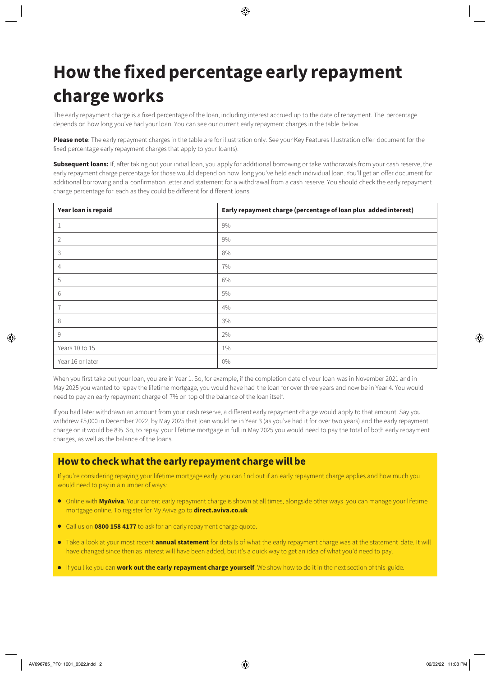# **How the fixed percentage early repayment charge works**

The early repayment charge is a fixed percentage of the loan, including interest accrued up to the date of repayment. The percentage depends on how long you've had your loan. You can see our current early repayment charges in the table below.

**Please note**: The early repayment charges in the table are for illustration only. See your Key Features Illustration offer document for the fixed percentage early repayment charges that apply to your loan(s).

**Subsequent loans:** If, after taking out your initial loan, you apply for additional borrowing or take withdrawals from your cash reserve, the early repayment charge percentage for those would depend on how long you've held each individual loan. You'll get an offer document for additional borrowing and a confirmation letter and statement for a withdrawal from a cash reserve. You should check the early repayment charge percentage for each as they could be different for different loans.

| Year loan is repaid | Early repayment charge (percentage of loan plus added interest) |
|---------------------|-----------------------------------------------------------------|
| 1                   | 9%                                                              |
| 2                   | 9%                                                              |
| $\mathsf 3$         | 8%                                                              |
| $\overline{4}$      | 7%                                                              |
| 5                   | 6%                                                              |
| 6                   | 5%                                                              |
| $\overline{7}$      | 4%                                                              |
| 8                   | 3%                                                              |
| 9                   | 2%                                                              |
| Years 10 to 15      | 1%                                                              |
| Year 16 or later    | 0%                                                              |

When you first take out your loan, you are in Year 1. So, for example, if the completion date of your loan was in November 2021 and in May 2025 you wanted to repay the lifetime mortgage, you would have had the loan for over three years and now be in Year 4. You would need to pay an early repayment charge of 7% on top of the balance of the loan itself.

If you had later withdrawn an amount from your cash reserve, a different early repayment charge would apply to that amount. Say you withdrew £5,000 in December 2022, by May 2025 that loan would be in Year 3 (as you've had it for over two years) and the early repayment charge on it would be 8%. So, to repay your lifetime mortgage in full in May 2025 you would need to pay the total of both early repayment charges, as well as the balance of the loans.

### **How to check what the early repayment charge will be**

If you're considering repaying your lifetime mortgage early, you can find out if an early repayment charge applies and how much you would need to pay in a number of ways:

- Online with **MyAviva**. Your current early repayment charge is shown at all times, alongside other ways you can manage your lifetime mortgage online. To register for My Aviva go to **[direct.aviva.co.uk](http://www.direct.aviva.co.uk)**
- Call us on **0800 158 4177** to ask for an early repayment charge quote.
- Take a look at your most recent **annual statement** for details of what the early repayment charge was at the statement date. It will have changed since then as interest will have been added, but it's a quick way to get an idea of what you'd need to pay.
- If you like you can **work out the early repayment charge yourself**. We show how to do it in the next section of this guide.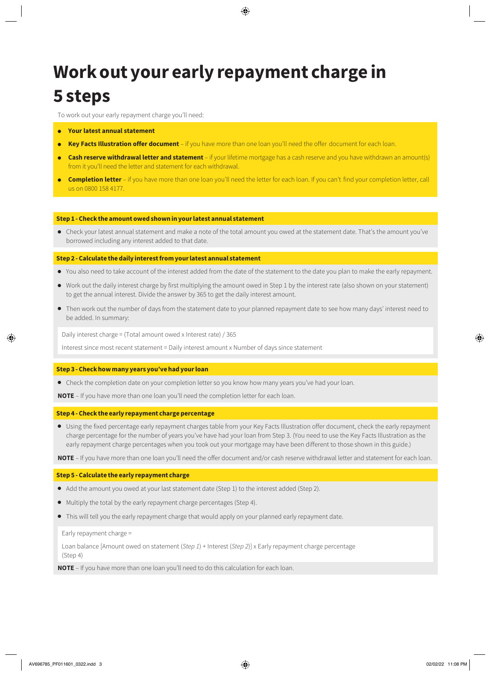# **Work out your early repayment charge in 5 steps**

To work out your early repayment charge you'll need:

- **Your latest annual statement**
- **Key Facts Illustration offer document**  if you have more than one loan you'll need the offer document for each loan.
- ● **Cash reserve withdrawal letter and statement**  if your lifetime mortgage has a cash reserve and you have withdrawn an amount(s) from it you'll need the letter and statement for each withdrawal.
- ● **Completion letter**  if you have more than one loan you'll need the letter for each loan. If you can't find your completion letter, call us on 0800 158 4177.

#### **Step 1 - Check the amount owed shown in your latest annual statement**

● Check your latest annual statement and make a note of the total amount you owed at the statement date. That's the amount you've borrowed including any interest added to that date.

#### **Step 2 - Calculate the daily interest from your latest annual statement**

- You also need to take account of the interest added from the date of the statement to the date you plan to make the early repayment.
- Work out the daily interest charge by first multiplying the amount owed in Step 1 by the interest rate (also shown on your statement) to get the annual interest. Divide the answer by 365 to get the daily interest amount.
- Then work out the number of days from the statement date to your planned repayment date to see how many days' interest need to be added. In summary:

Daily interest charge = (Total amount owed x Interest rate) / 365

Interest since most recent statement = Daily interest amount x Number of days since statement

#### **Step 3 - Check how many years you've had your loan**

● Check the completion date on your completion letter so you know how many years you've had your loan.

**NOTE** – If you have more than one loan you'll need the completion letter for each loan.

#### **Step 4 - Check the early repayment charge percentage**

● Using the fixed percentage early repayment charges table from your Key Facts Illustration offer document, check the early repayment charge percentage for the number of years you've have had your loan from Step 3. (You need to use the Key Facts Illustration as the early repayment charge percentages when you took out your mortgage may have been different to those shown in this guide.)

**NOTE** – If you have more than one loan you'll need the offer document and/or cash reserve withdrawal letter and statement for each loan.

#### **Step 5 - Calculate the early repayment charge**

- Add the amount you owed at your last statement date (Step 1) to the interest added (Step 2).
- Multiply the total by the early repayment charge percentages (Step 4).
- This will tell you the early repayment charge that would apply on your planned early repayment date.

Early repayment charge =

Loan balance [Amount owed on statement (*Step 1*) + Interest (*Step 2*)] x Early repayment charge percentage (Step 4)

**NOTE** – If you have more than one loan you'll need to do this calculation for each loan.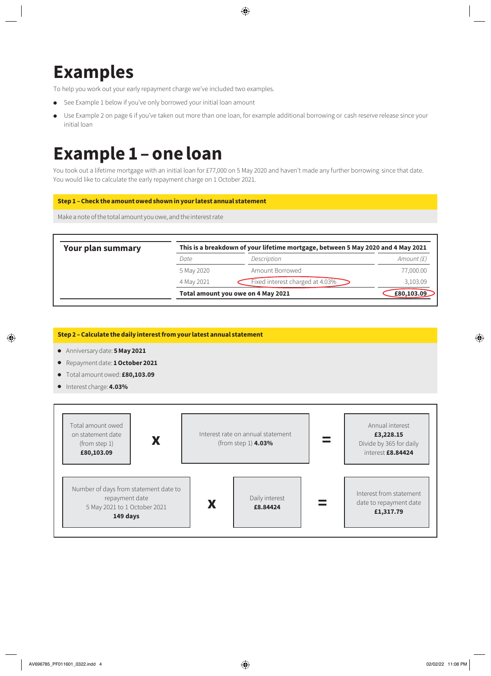# **Examples**

To help you work out your early repayment charge we've included two examples.

- See Example 1 below if you've only borrowed your initial loan amount
- Use Example 2 on page 6 if you've taken out more than one loan, for example additional borrowing or cash reserve release since your initial loan

### **Example 1 – one loan**

You took out a lifetime mortgage with an initial loan for £77,000 on 5 May 2020 and haven't made any further borrowing since that date. You would like to calculate the early repayment charge on 1 October 2021.

#### **Step 1 – Check the amount owed shown in your latest annual statement**

Make a note of the total amount you owe, and the interest rate

| <b>Your plan summary</b> | This is a breakdown of your lifetime mortgage, between 5 May 2020 and 4 May 2021 |                                 |              |  |
|--------------------------|----------------------------------------------------------------------------------|---------------------------------|--------------|--|
|                          | Date                                                                             | Description                     | Amount $(f)$ |  |
|                          | 5 May 2020                                                                       | Amount Borrowed                 | 77,000.00    |  |
|                          | 4 May 2021                                                                       | Fixed interest charged at 4.03% | 3,103.09     |  |
|                          | Total amount you owe on 4 May 2021                                               |                                 | £80,103.09   |  |

**Step 2 – Calculate the daily interest from your latest annual statement**

- Anniversary date: **5 May 2021**
- Repayment date: **1 October 2021**
- Total amount owed: **£80,103.09**
- Interest charge: **4.03%**

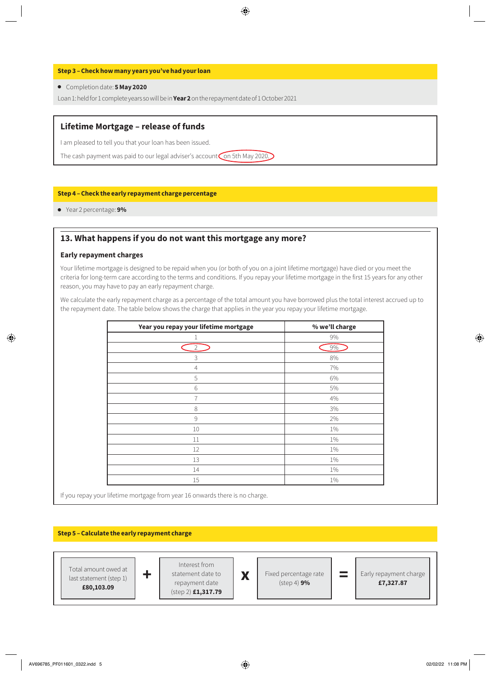#### **Step 3 – Check how many years you've had your loan**

#### ● Completion date: **5 May 2020**

Loan 1: held for 1 complete years so will be in **Year 2** on the repayment date of 1 October 2021

#### **Lifetime Mortgage – release of funds**

I am pleased to tell you that your loan has been issued.

The cash payment was paid to our legal adviser's account on 5th May 2020.

#### **Step 4 – Check the early repayment charge percentage**

● Year 2 percentage: **9%**

#### **13. What happens if you do not want this mortgage any more?**

#### **Early repayment charges**

Your lifetime mortgage is designed to be repaid when you (or both of you on a joint lifetime mortgage) have died or you meet the criteria for long-term care according to the terms and conditions. If you repay your lifetime mortgage in the first 15 years for any other reason, you may have to pay an early repayment charge.

We calculate the early repayment charge as a percentage of the total amount you have borrowed plus the total interest accrued up to the repayment date. The table below shows the charge that applies in the year you repay your lifetime mortgage.

| Year you repay your lifetime mortgage | % we'll charge |
|---------------------------------------|----------------|
| 1                                     | 9%             |
| $\overline{2}$                        | 9%             |
| 3                                     | 8%             |
| $\overline{4}$                        | 7%             |
| 5                                     | 6%             |
| 6                                     | 5%             |
| $\overline{7}$                        | 4%             |
| 8                                     | 3%             |
| 9                                     | 2%             |
| 10                                    | 1%             |
| 11                                    | 1%             |
| 12                                    | 1%             |
| 13                                    | $1\%$          |
| 14                                    | 1%             |
| 15                                    | 1%             |

If you repay your lifetime mortgage from year 16 onwards there is no charge.

#### **Step 5 – Calculate the early repayment charge**

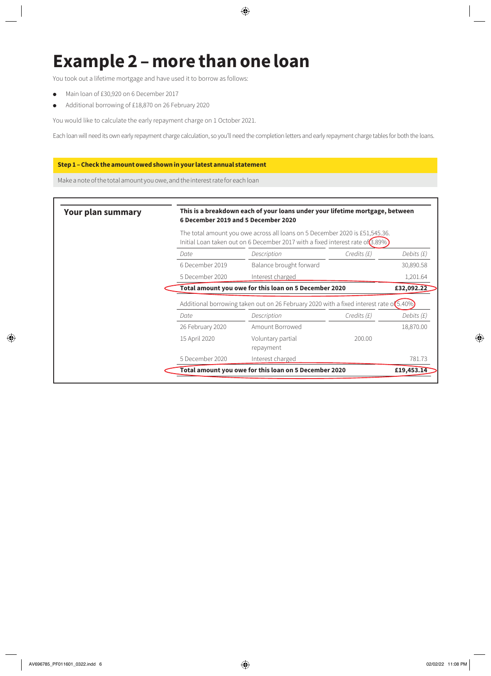# **Example 2 – more than one loan**

You took out a lifetime mortgage and have used it to borrow as follows:

- Main loan of £30,920 on 6 December 2017
- Additional borrowing of £18,870 on 26 February 2020

You would like to calculate the early repayment charge on 1 October 2021.

Each loan will need its own early repayment charge calculation, so you'll need the completion letters and early repayment charge tables for both the loans.

#### **Step 1 – Check the amount owed shown in your latest annual statement**

Make a note of the total amount you owe, and the interest rate for each loan

| <b>Your plan summary</b> | This is a breakdown each of your loans under your lifetime mortgage, between<br>6 December 2019 and 5 December 2020<br>The total amount you owe across all loans on 5 December 2020 is £51,545.36.<br>Initial Loan taken out on 6 December 2017 with a fixed interest rate of (3.89%) |                                                       |                  |            |
|--------------------------|---------------------------------------------------------------------------------------------------------------------------------------------------------------------------------------------------------------------------------------------------------------------------------------|-------------------------------------------------------|------------------|------------|
|                          |                                                                                                                                                                                                                                                                                       |                                                       |                  |            |
|                          | Date                                                                                                                                                                                                                                                                                  | Description                                           | $C$ redits $(E)$ | Debits (£) |
|                          | 6 December 2019                                                                                                                                                                                                                                                                       | Balance brought forward                               |                  | 30,890.58  |
|                          | 5 December 2020                                                                                                                                                                                                                                                                       | Interest charged                                      |                  | 1,201.64   |
|                          |                                                                                                                                                                                                                                                                                       | Total amount you owe for this loan on 5 December 2020 |                  | £32,092.22 |
|                          | Additional borrowing taken out on 26 February 2020 with a fixed interest rate of 5.40%                                                                                                                                                                                                |                                                       |                  |            |
|                          | Date                                                                                                                                                                                                                                                                                  | Description                                           | $C$ redits $(E)$ | Debits (£) |
|                          | 26 February 2020                                                                                                                                                                                                                                                                      | Amount Borrowed                                       |                  | 18,870.00  |
|                          | 15 April 2020                                                                                                                                                                                                                                                                         | Voluntary partial<br>repayment                        | 200.00           |            |
|                          | 5 December 2020                                                                                                                                                                                                                                                                       | Interest charged                                      |                  | 781.73     |
|                          |                                                                                                                                                                                                                                                                                       | Total amount you owe for this loan on 5 December 2020 |                  | £19,453.14 |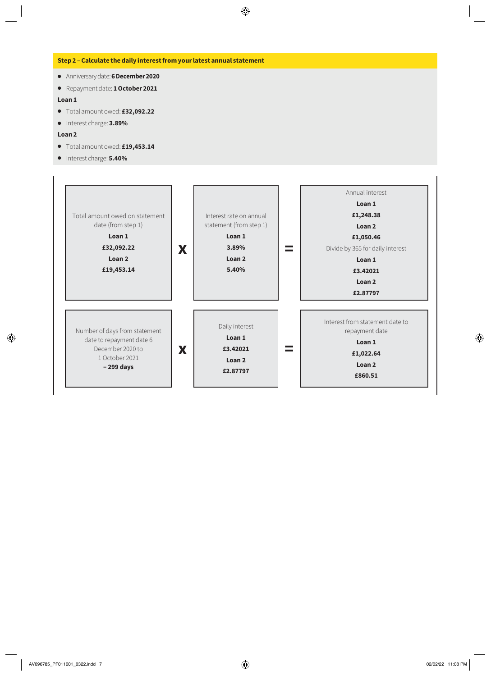#### **Step 2 – Calculate the daily interest from your latest annual statement**

- Anniversary date: **6 December 2020**
- Repayment date: **1 October 2021**

#### **Loan 1**

- Total amount owed: **£32,092.22**
- Interest charge: **3.89%**

#### **Loan 2**

- Total amount owed: **£19,453.14**
- Interest charge: **5.40%**

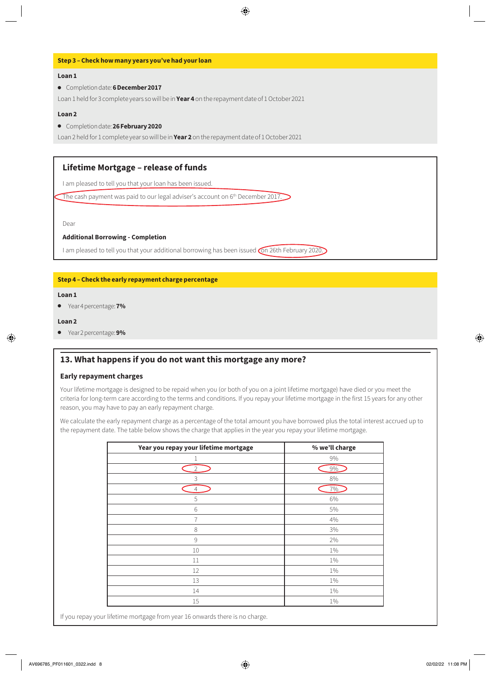#### **Step 3 – Check how many years you've had your loan**

#### **Loan 1**

● Completion date: **6 December 2017**

Loan 1 held for 3 complete years so will be in **Year 4** on the repayment date of 1 October 2021

#### **Loan 2**

● Completion date: **26 February 2020**

Loan 2 held for 1 complete year so will be in **Year 2** on the repayment date of 1 October 2021

#### **Lifetime Mortgage – release of funds**

I am pleased to tell you that your loan has been issued.

The cash payment was paid to our legal adviser's account on 6<sup>th</sup> December 2017.

Dear

#### **Additional Borrowing - Completion**

I am pleased to tell you that your additional borrowing has been issued on 26th February 2020.

#### **Step 4 – Check the early repayment charge percentage**

#### **Loan 1**

● Year 4 percentage: **7%**

#### **Loan 2**

● Year 2 percentage: **9%**

#### **13. What happens if you do not want this mortgage any more?**

#### **Early repayment charges**

Your lifetime mortgage is designed to be repaid when you (or both of you on a joint lifetime mortgage) have died or you meet the criteria for long-term care according to the terms and conditions. If you repay your lifetime mortgage in the first 15 years for any other reason, you may have to pay an early repayment charge.

We calculate the early repayment charge as a percentage of the total amount you have borrowed plus the total interest accrued up to the repayment date. The table below shows the charge that applies in the year you repay your lifetime mortgage.

| Year you repay your lifetime mortgage | % we'll charge |  |  |
|---------------------------------------|----------------|--|--|
|                                       | $9\%$          |  |  |
| 2                                     | 9%             |  |  |
| 3                                     | $8\%$          |  |  |
| 4                                     | 7%             |  |  |
| 5                                     | $6\%$          |  |  |
| 6                                     | 5%             |  |  |
| 7                                     | 4%             |  |  |
| 8                                     | 3%             |  |  |
| 9                                     | 2%             |  |  |
| 10                                    | 1%             |  |  |
| 11                                    | $1\%$          |  |  |
| 12                                    | $1\%$          |  |  |
| 13                                    | $1\%$          |  |  |
| 14                                    | $1\%$          |  |  |
| 15                                    | $1\%$          |  |  |

If you repay your lifetime mortgage from year 16 onwards there is no charge.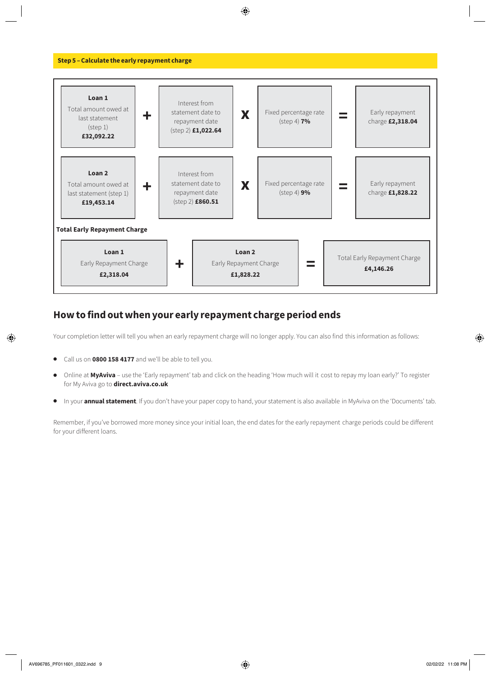

### **How to find out when your early repayment charge period ends**

Your completion letter will tell you when an early repayment charge will no longer apply. You can also find this information as follows:

- Call us on **0800 158 4177** and we'll be able to tell you.
- Online at **MyAviva**  use the 'Early repayment' tab and click on the heading 'How much will it cost to repay my loan early?' To register for My Aviva go to **[direct.aviva.co.uk](http://www.direct.aviva.co.uk)**
- In your **annual statement**. If you don't have your paper copy to hand, your statement is also available in MyAviva on the 'Documents' tab.

Remember, if you've borrowed more money since your initial loan, the end dates for the early repayment charge periods could be different for your different loans.